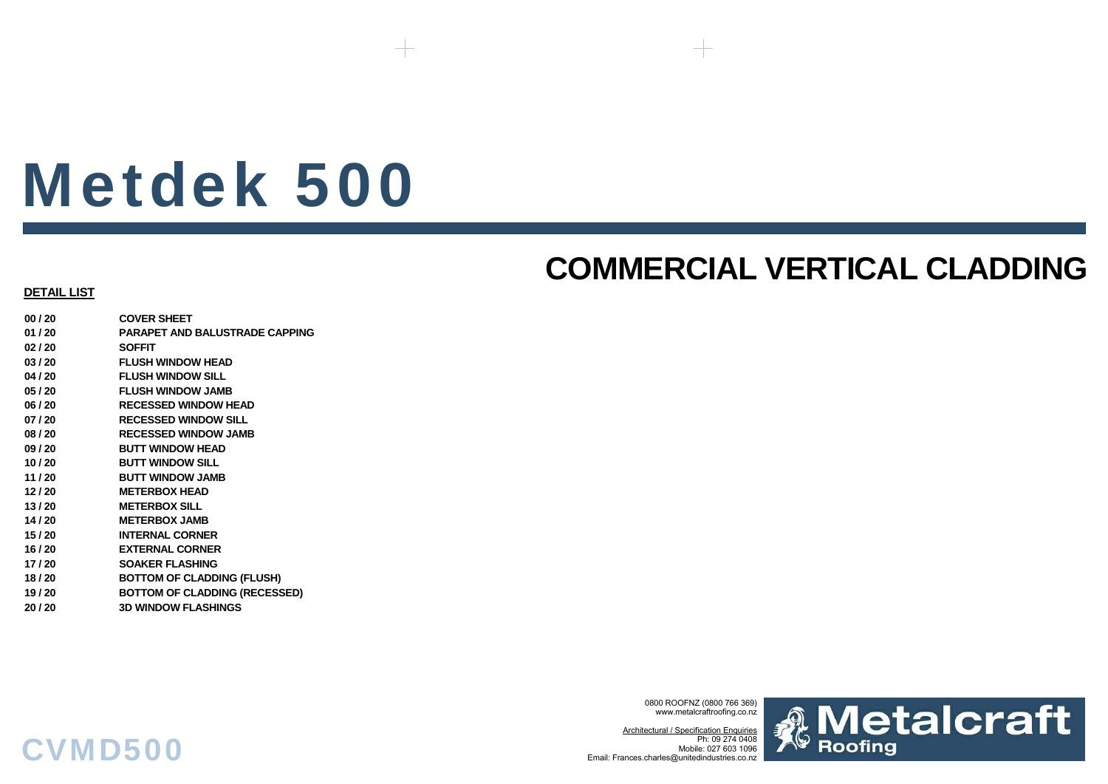# Metdek 500

### **COMMERCIAL VERTICAL CLADDING**

### **DETAIL LIST**

**00 / 20 COVER SHEET01 / 20 PARAPET AND BALUSTRADE CAPPING02 / 20 SOFFIT03 / 20 FLUSH WINDOW HEAD04 / 20 FLUSH WINDOW SILL05 / 20 FLUSH WINDOW JAMB06 / 20 RECESSED WINDOW HEAD07 / 20 RECESSED WINDOW SILL08 / 20 RECESSED WINDOW JAMB09 / 20 BUTT WINDOW HEAD10 / 20 BUTT WINDOW SILL11 / 20 BUTT WINDOW JAMB12 / 20 METERBOX HEAD13 / 20 METERBOX SILL14 / 20 METERBOX JAMB 15 / 20 INTERNAL CORNER16 / 20 EXTERNAL CORNER17 / 20 SOAKER FLASHING18 / 20 BOTTOM OF CLADDING (FLUSH) 19 / 20 BOTTOM OF CLADDING (RECESSED) 20 / 20 3D WINDOW FLASHINGS**

CVMD500

0800 ROOFNZ (0800 766 369) www.metalcraftroofing.co.nz

Architectural / Specification Enquiries Ph: 09 274 0408 Mobile: 027 603 1096Email: Frances.charles@unitedindustries.co.nz

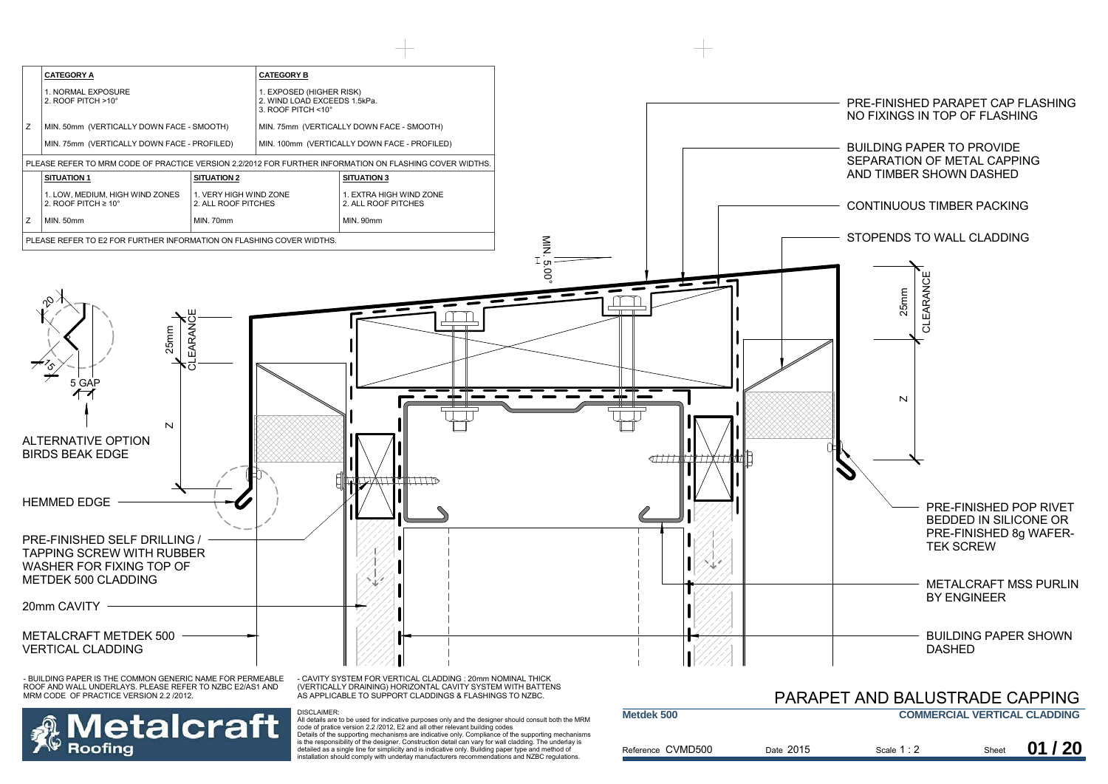

Details of the supporting mechanisms are indicative only. Compliance of the supporting mechanisms is the responsibility of the designer. Construction detail can vary for wall cladding. The underlay is detailed as a single line for simplicity and is indicative only. Building paper type and method of installation should comply with underlay manufacturers recommendations and NZBC regulations.

Roofina

| Reference CVMD500<br>Date 2015 | Scale $1:2$ | Sheet | 01/20 |  |
|--------------------------------|-------------|-------|-------|--|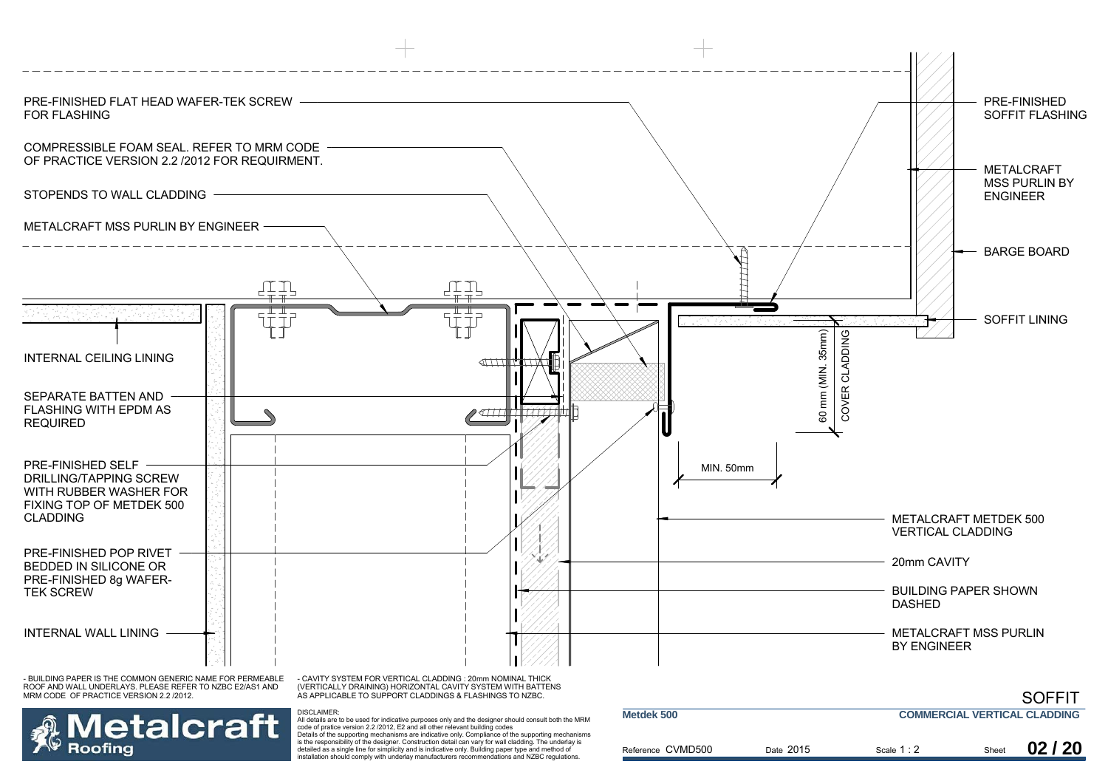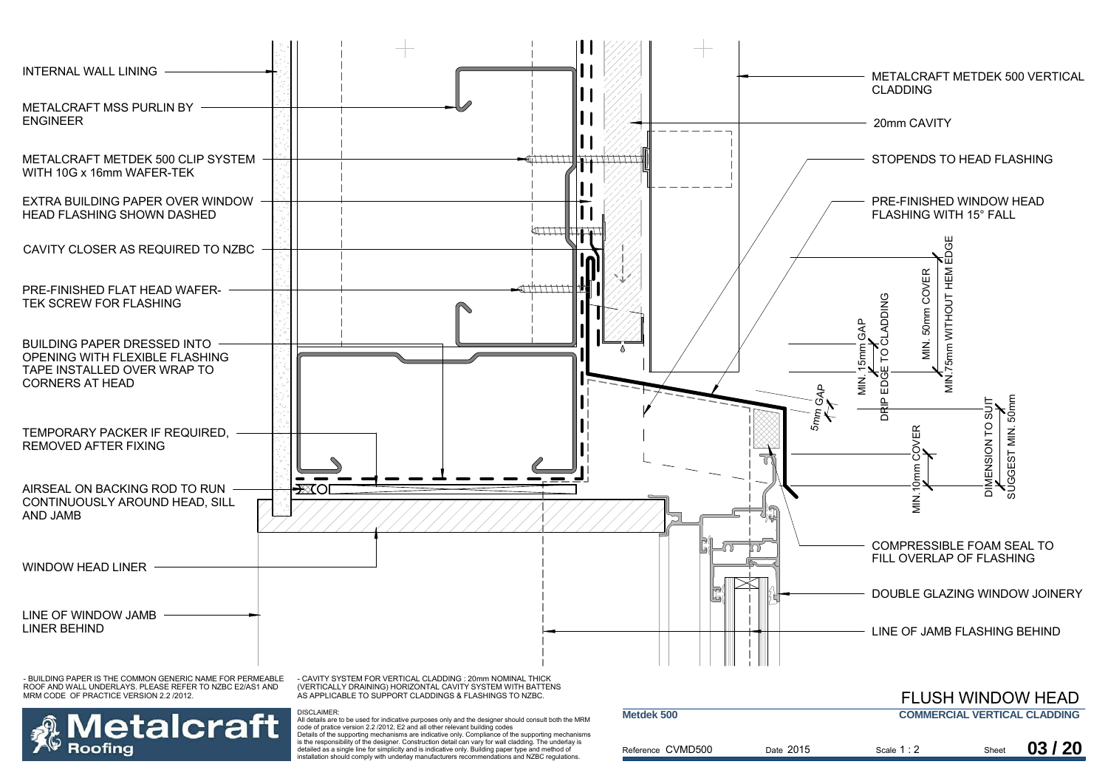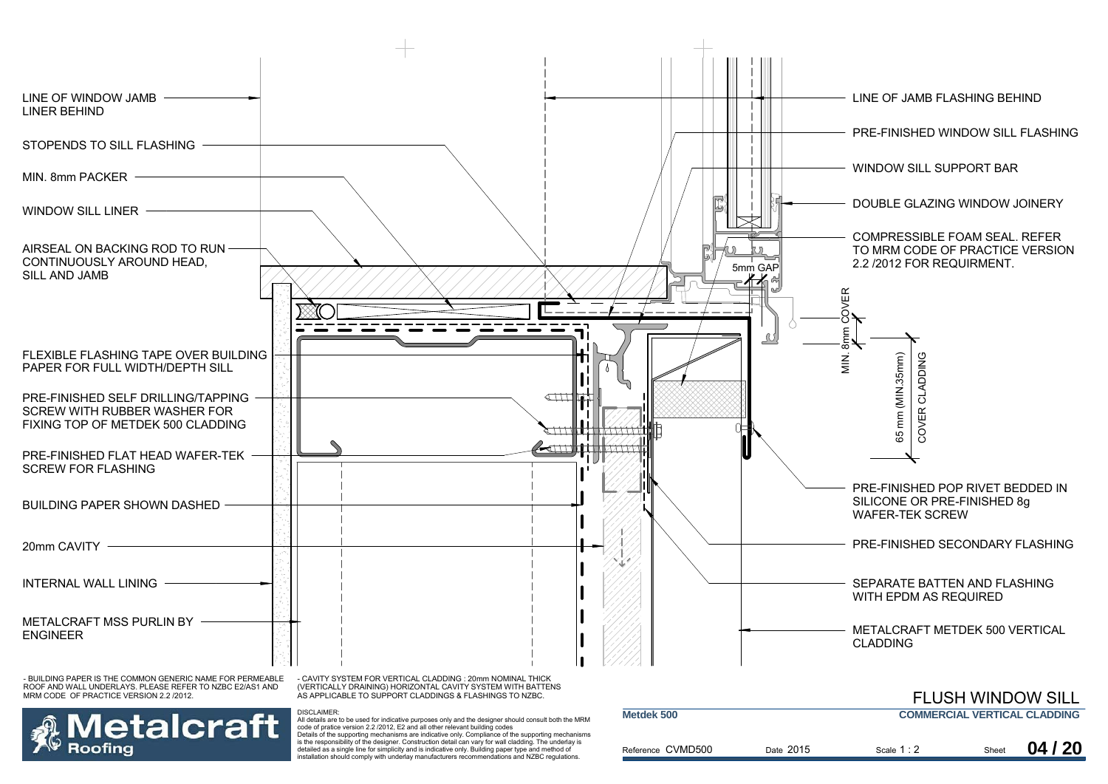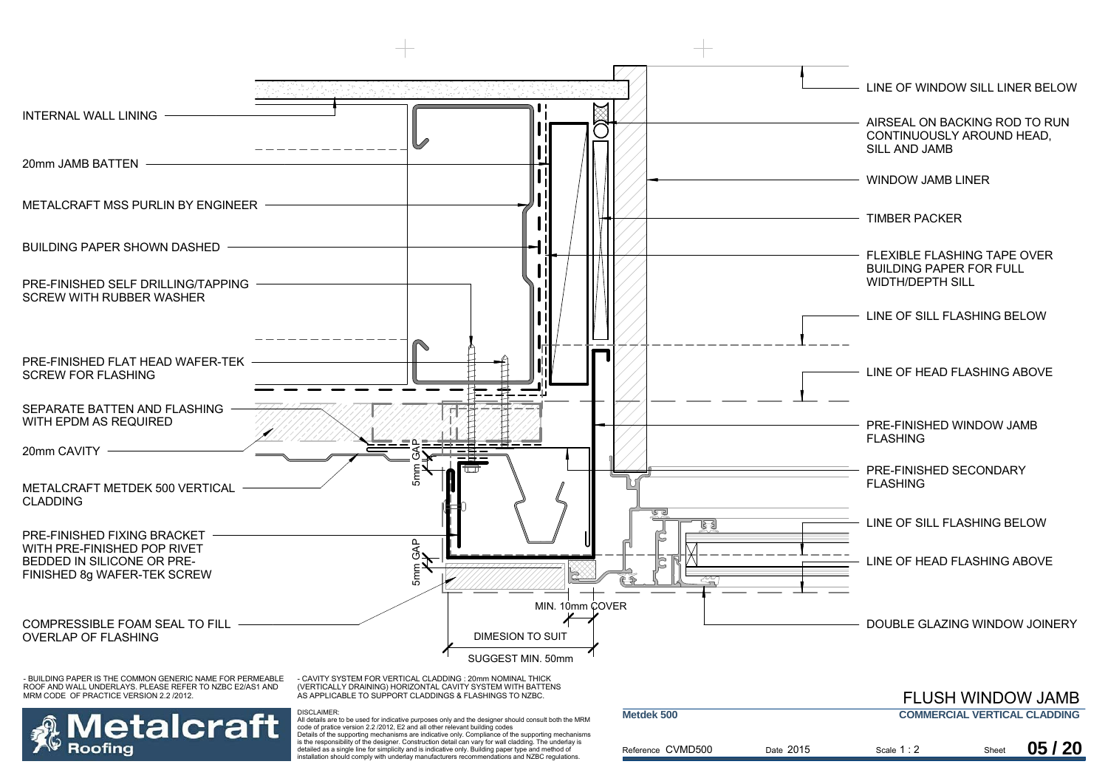

is the responsibility of the designer. Construction detail can vary for wall cladding. The underlay is detailed as a single line for simplicity and is indicative only. Building paper type and method of installation should comply with underlay manufacturers recommendations and NZBC regulations.

toofina

| <b>IVICLUCA JUV</b> | <b>UUINILIVUAL TEIVIIVAL ULADDINU</b> |             |       |       |  |
|---------------------|---------------------------------------|-------------|-------|-------|--|
| Reference CVMD500   | Date 2015                             | Scale $1:2$ | Sheet | 05/20 |  |
|                     |                                       |             |       |       |  |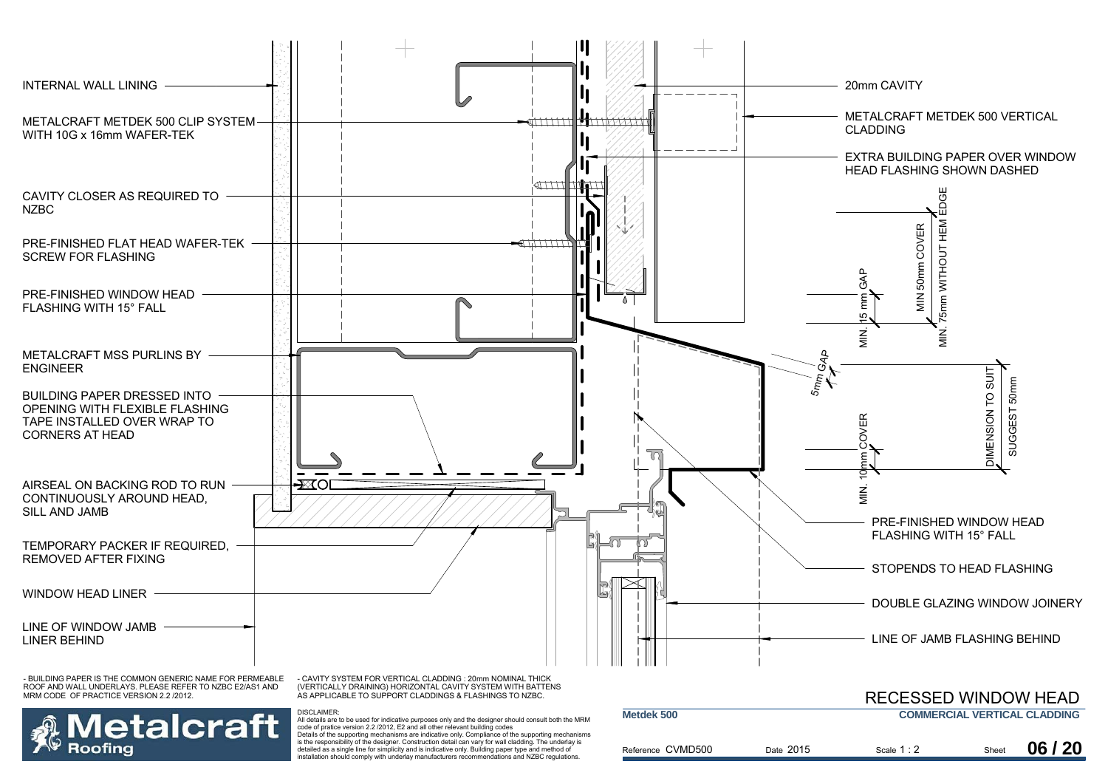

Reference CVMD500

is the responsibility of the designer. Construction detail can vary for wall cladding. The underlay is detailed as a single line for simplicity and is indicative only. Building paper type and method of installation should comply with underlay manufacturers recommendations and NZBC regulations.

Roofina

| Date 2015 | Scale $1:2$ | Sheet | 06 / 20 |
|-----------|-------------|-------|---------|
|           |             |       |         |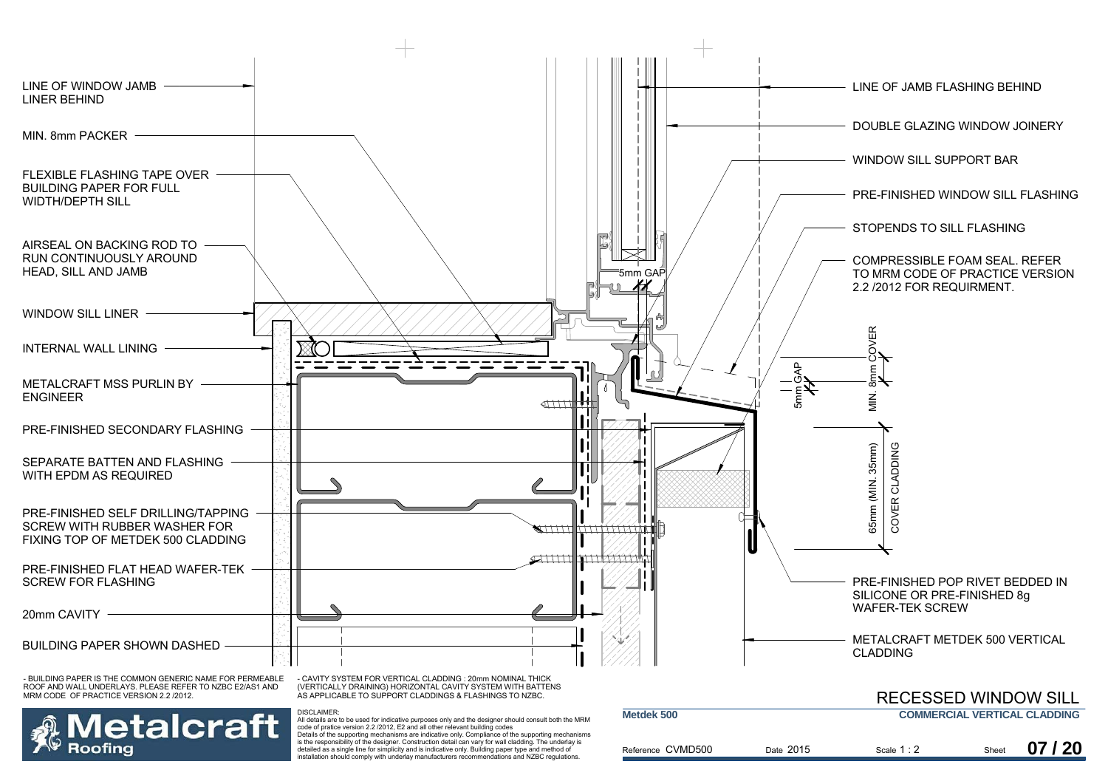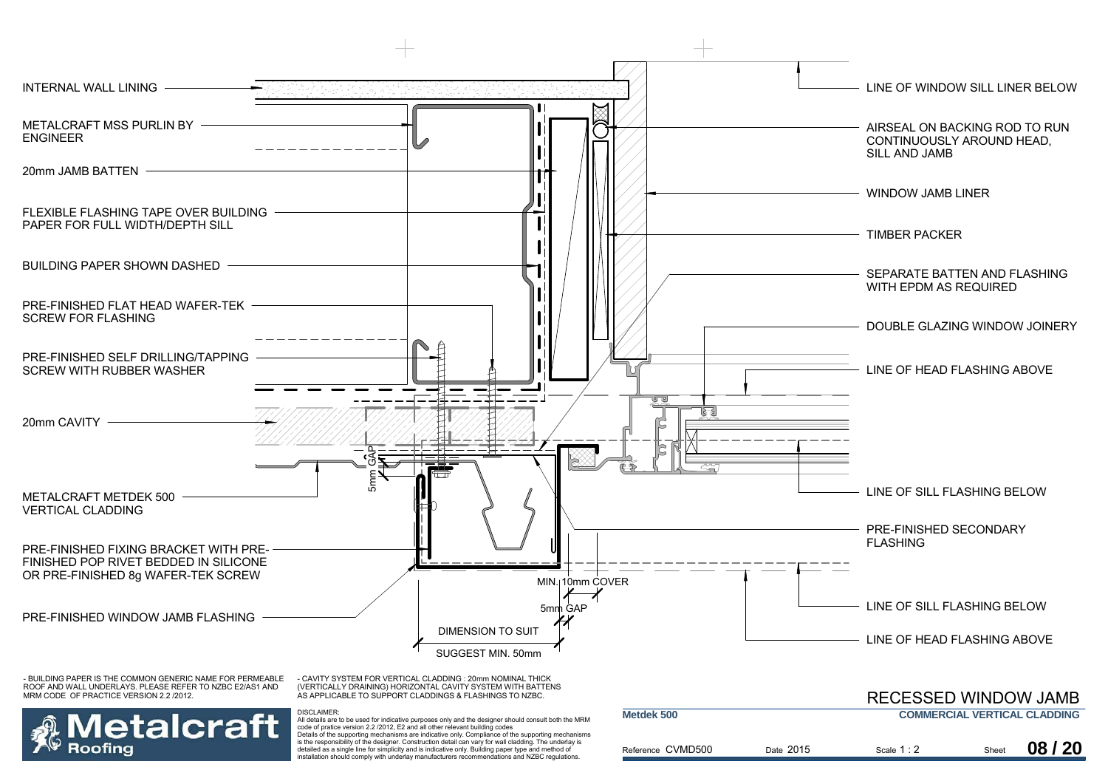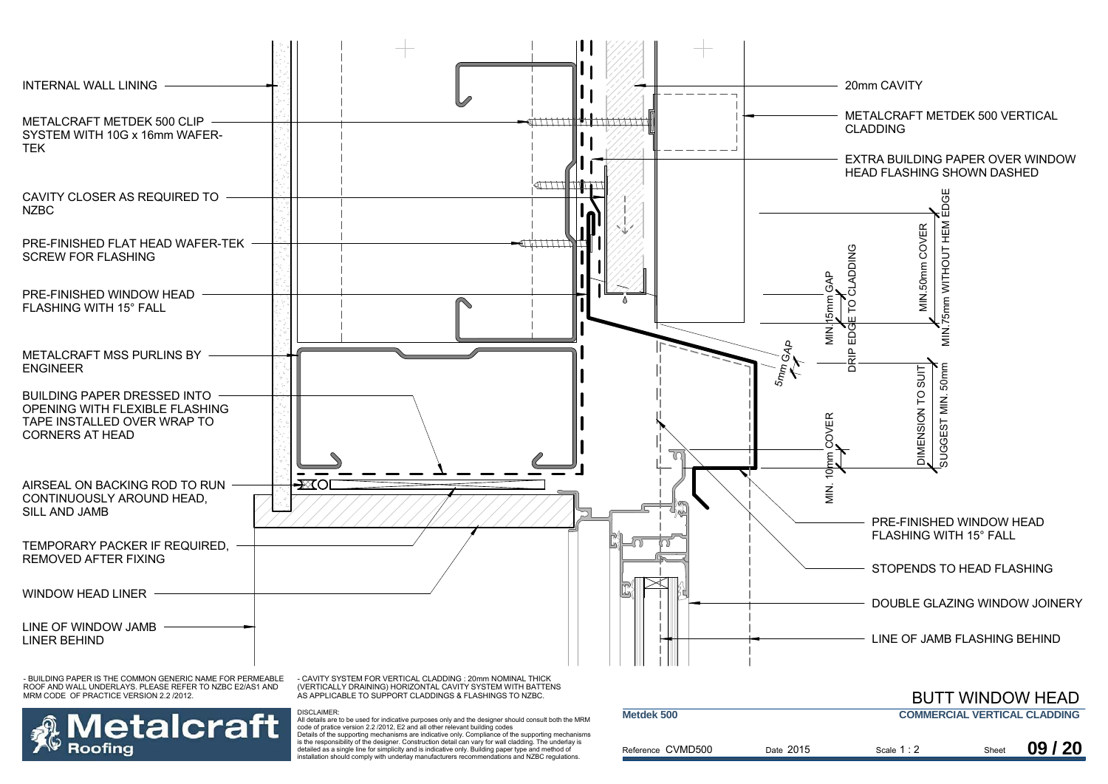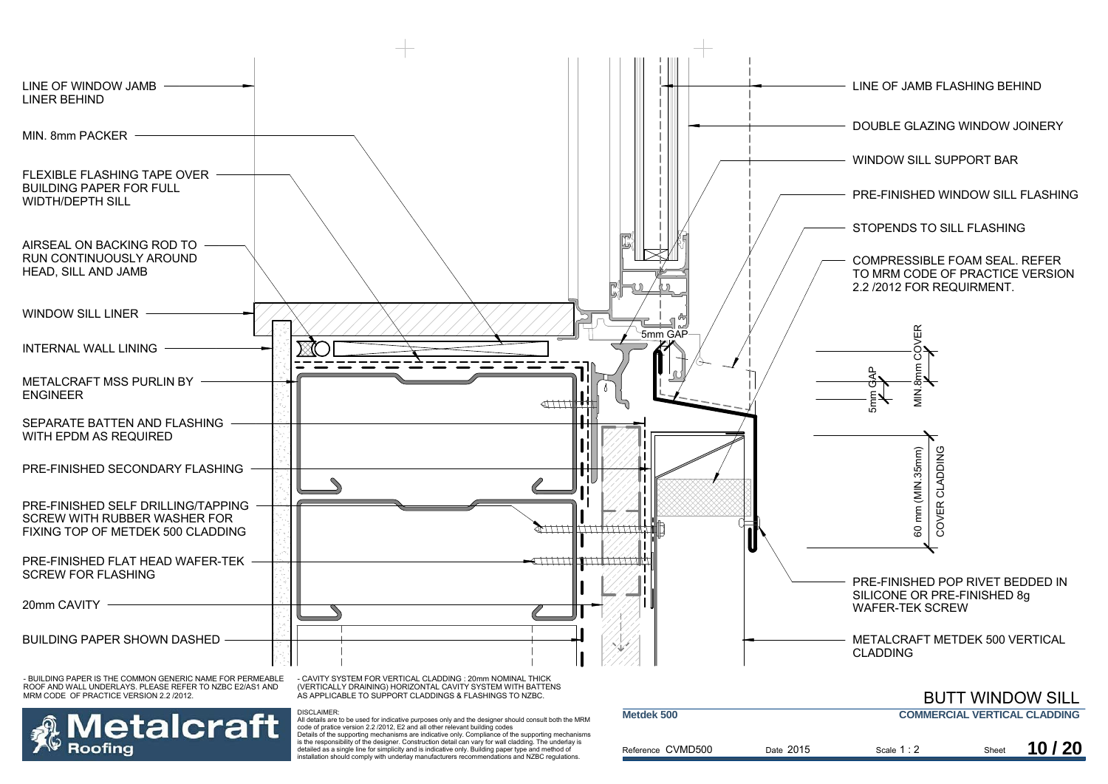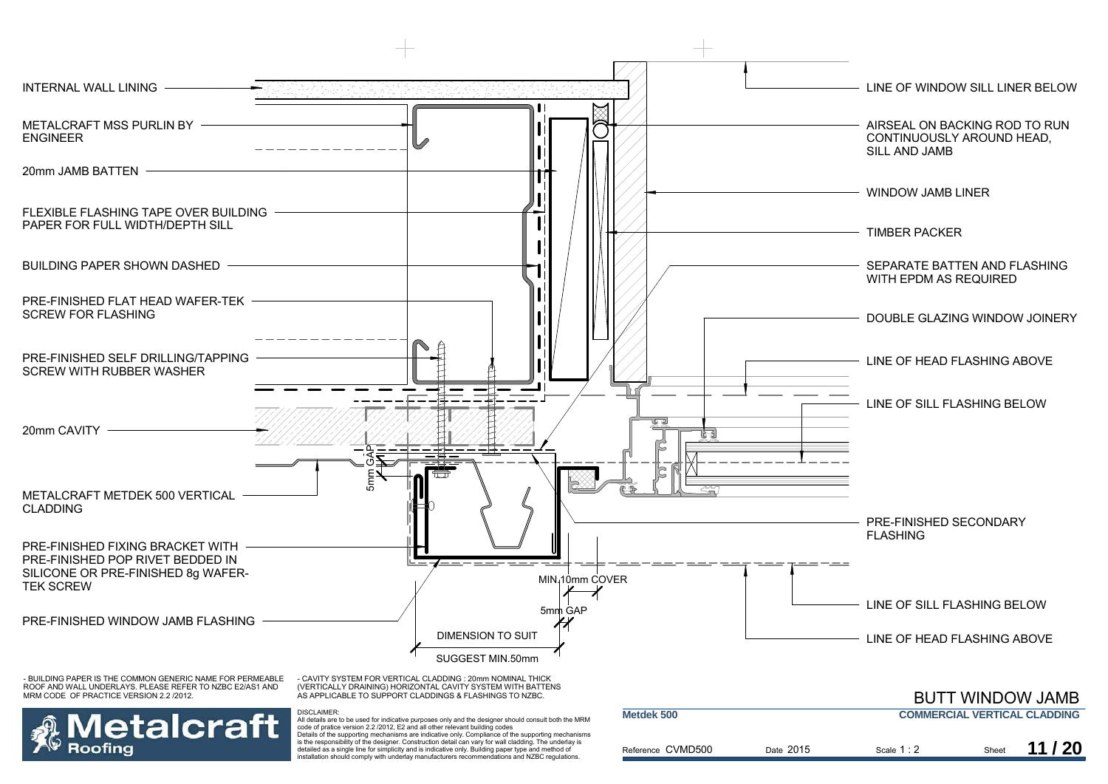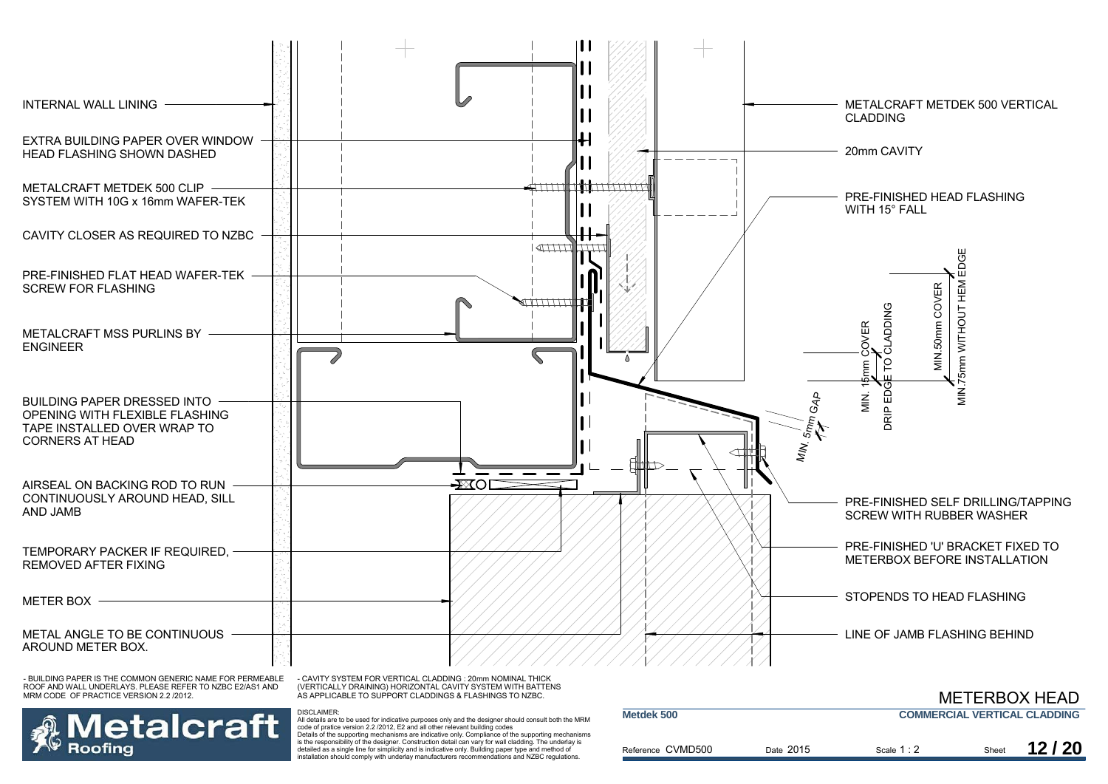

ROOF AND WALL UNDERLAYS. PLEASE REFER TO NZBC E2/AS1 AND MRM CODE OF PRACTICE VERSION 2.2 /2012.



(VERTICALLY DRAINING) HORIZONTAL CAVITY SYSTEM WITH BATTENS AS APPLICABLE TO SUPPORT CLADDINGS & FLASHINGS TO NZBC.

DISCLAIMER:

 All details are to be used for indicative purposes only and the designer should consult both the MRM code of pratice version 2.2 /2012, E2 and all other relevant building codes Details of the supporting mechanisms are indicative only. Compliance of the supporting mechanisms is the responsibility of the designer. Construction detail can vary for wall cladding. The underlay is detailed as a single line for simplicity and is indicative only. Building paper type and method of installation should comply with underlay manufacturers recommendations and NZBC regulations.

|                   |           |             |       | <b>METERBOX HEAD</b>                |
|-------------------|-----------|-------------|-------|-------------------------------------|
| Metdek 500        |           |             |       | <b>COMMERCIAL VERTICAL CLADDING</b> |
| Reference CVMD500 | Date 2015 | Scale $1:2$ | Sheet | 12/20                               |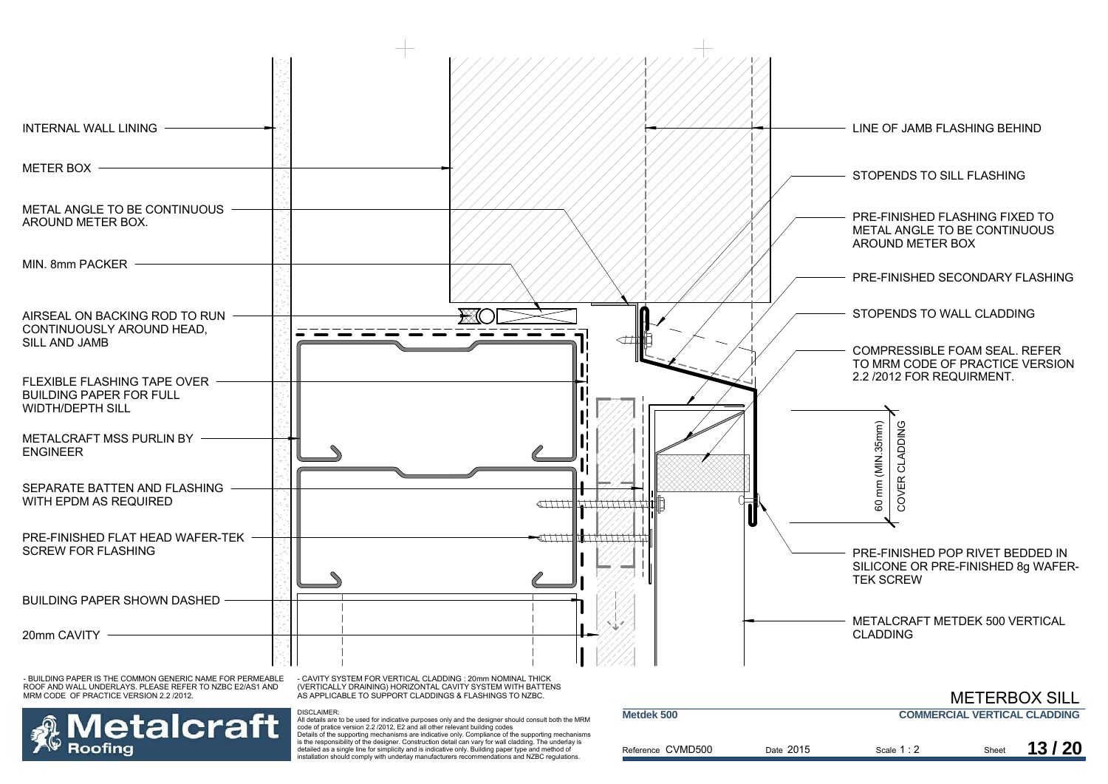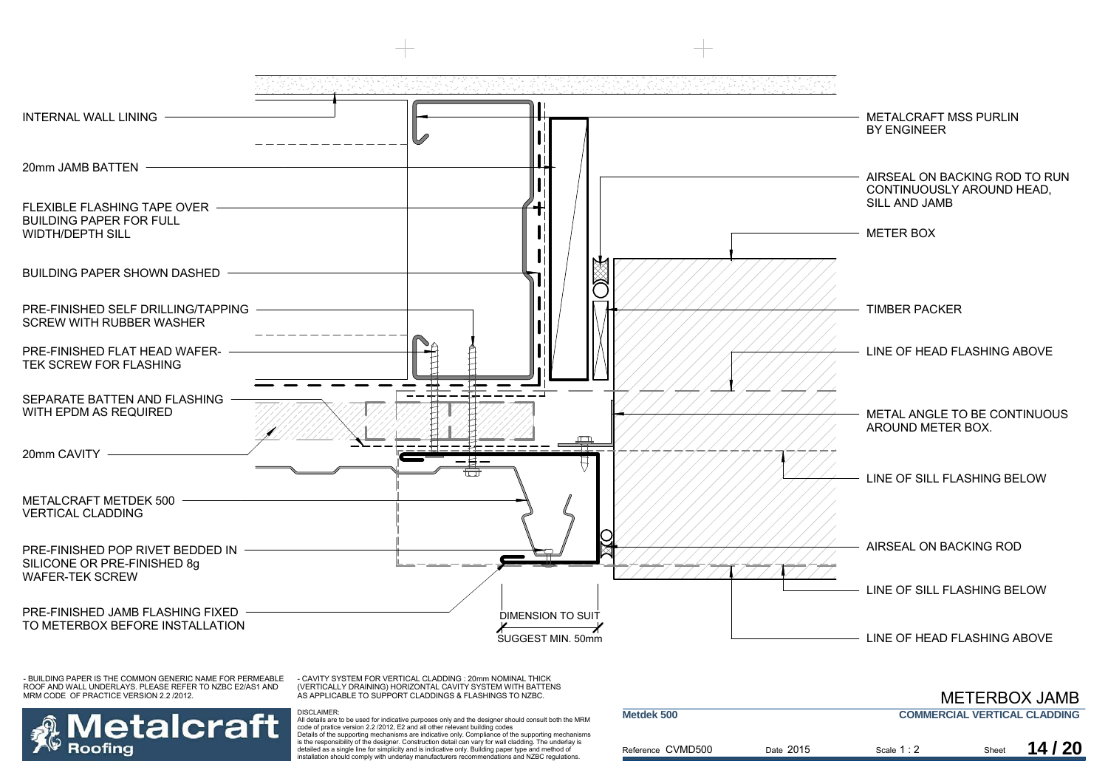

- BUILDING PAPER IS THE COMMON GENERIC NAME FOR PERMEABLE ROOF AND WALL UNDERLAYS. PLEASE REFER TO NZBC E2/AS1 AND MRM CODE OF PRACTICE VERSION 2.2 /2012.

- CAVITY SYSTEM FOR VERTICAL CLADDING : 20mm NOMINAL THICK (VERTICALLY DRAINING) HORIZONTAL CAVITY SYSTEM WITH BATTENS AS APPLICABLE TO SUPPORT CLADDINGS & FLASHINGS TO NZBC.

DISCLAIMER:



 All details are to be used for indicative purposes only and the designer should consult both the MRM code of pratice version 2.2 /2012, E2 and all other relevant building codes Details of the supporting mechanisms are indicative only. Compliance of the supporting mechanisms is the responsibility of the designer. Construction detail can vary for wall cladding. The underlay is detailed as a single line for simplicity and is indicative only. Building paper type and method of installation should comply with underlay manufacturers recommendations and NZBC regulations.

|                   |           | <b>METERBOX JAMB</b>                |       |       |
|-------------------|-----------|-------------------------------------|-------|-------|
| Metdek 500        |           | <b>COMMERCIAL VERTICAL CLADDING</b> |       |       |
| Reference CVMD500 | Date 2015 | Scale $1:2$                         | Sheet | 14/20 |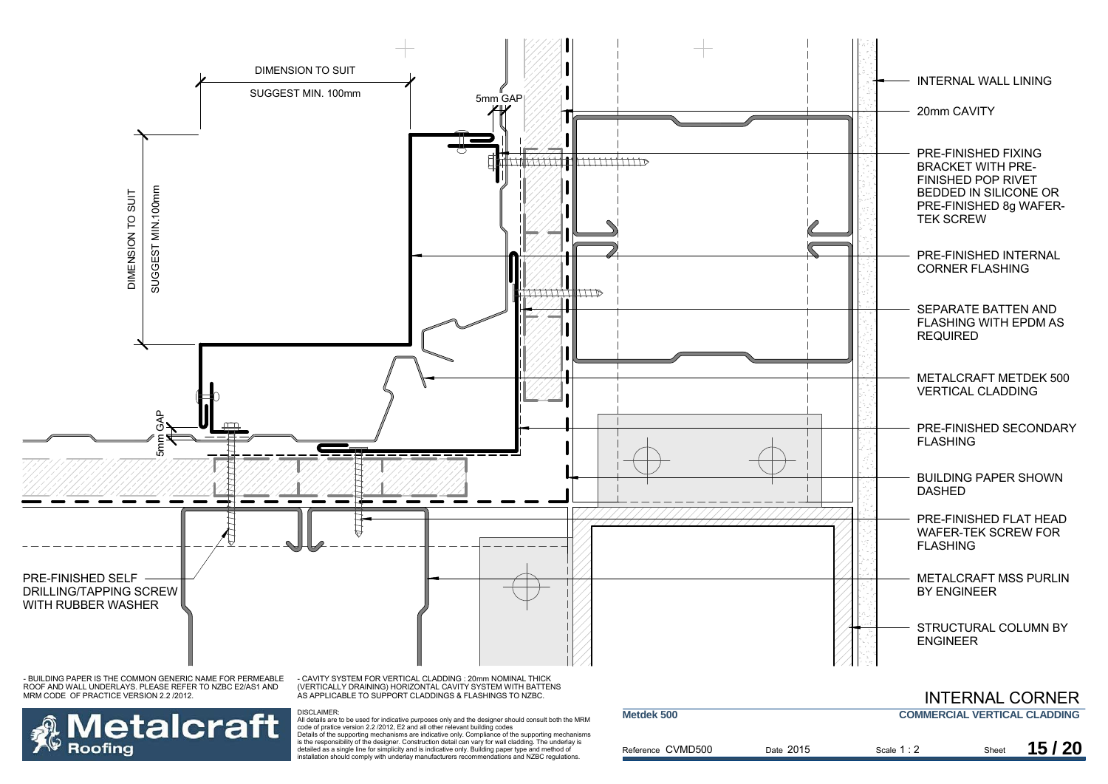

Reference CVMD500

Date 2015

Scale Sheet 1 : 2

2 Sheet **15/20** 

Details of the supporting mechanisms are indicative only. Compliance of the supporting mechanisms is the responsibility of the designer. Construction detail can vary for wall cladding. The underlay is detailed as a single line for simplicity and is indicative only. Building paper type and method of installation should comply with underlay manufacturers recommendations and NZBC regulations.

Roofing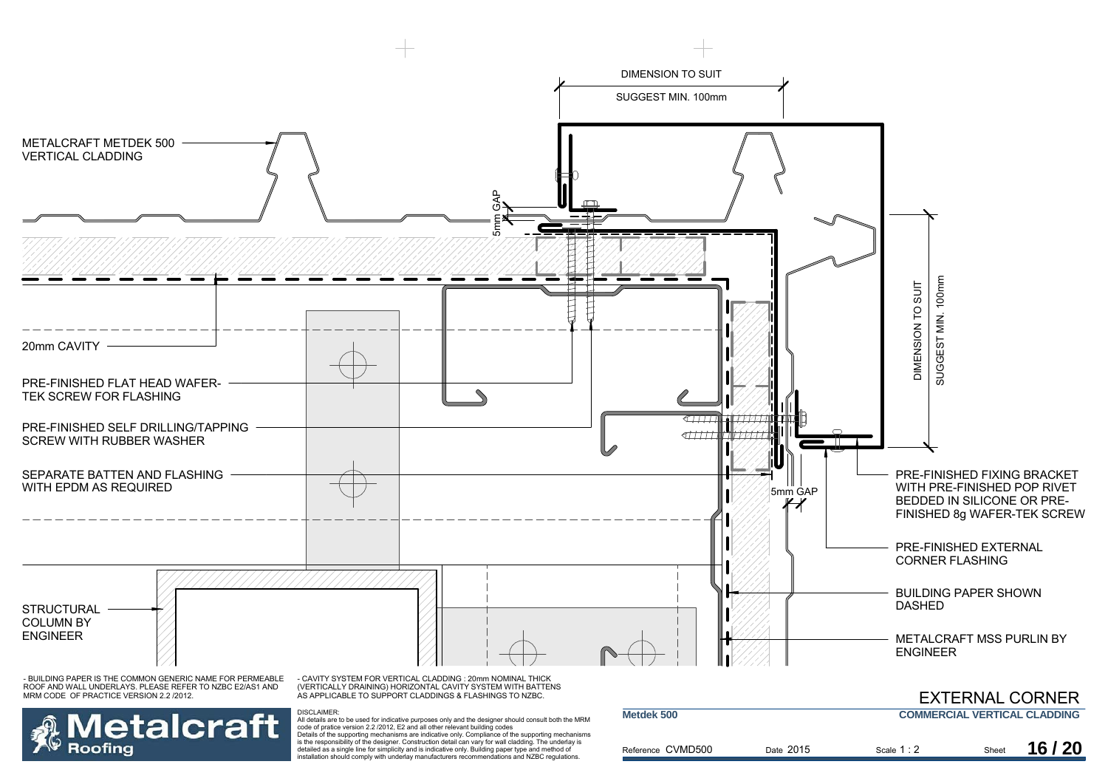

Details of the supporting mechanisms are indicative only. Compliance of the supporting mechanisms is the responsibility of the designer. Construction detail can vary for wall cladding. The underlay is detailed as a single line for simplicity and is indicative only. Building paper type and method of installation should comply with underlay manufacturers recommendations and NZBC regulations.

Roofina

| Metdek 500        |           | <b>COMMERCIAL VERTICAL CLADDING</b> |       |       |
|-------------------|-----------|-------------------------------------|-------|-------|
| Reference CVMD500 | Date 2015 | Scale $1:2$                         | Sheet | 16/20 |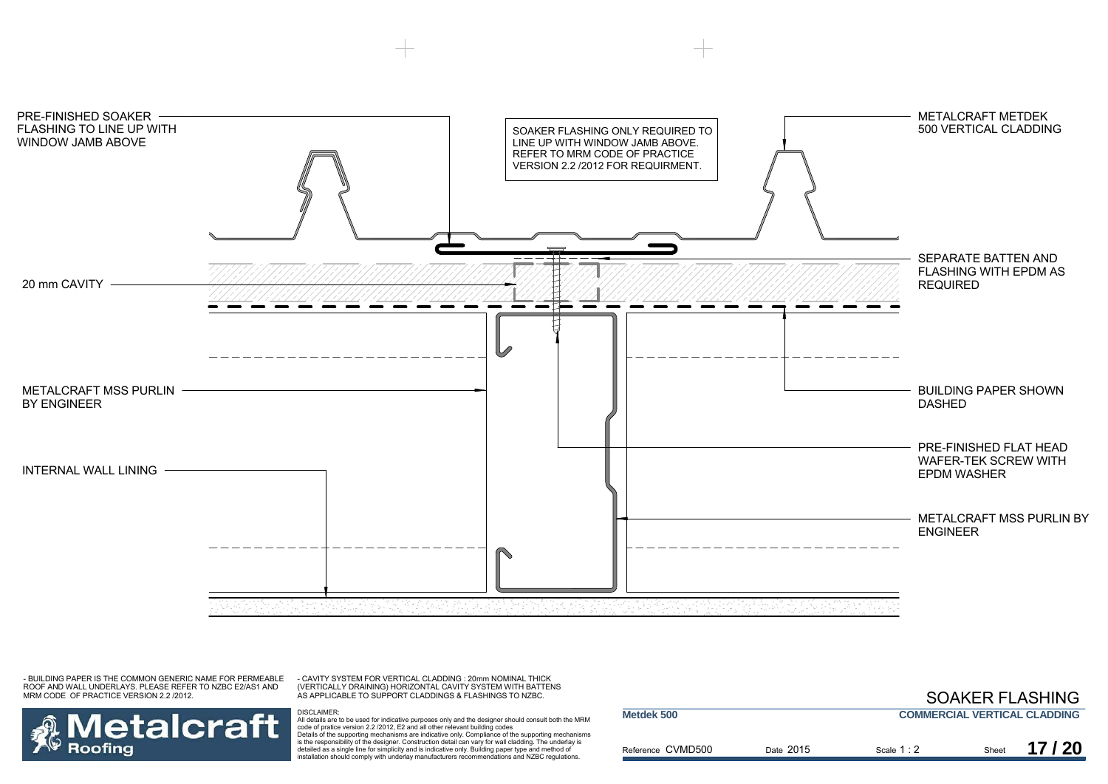

- BUILDING PAPER IS THE COMMON GENERIC NAME FOR PERMEABLE ROOF AND WALL UNDERLAYS. PLEASE REFER TO NZBC E2/AS1 AND MRM CODE OF PRACTICE VERSION 2.2 /2012.

- CAVITY SYSTEM FOR VERTICAL CLADDING : 20mm NOMINAL THICK (VERTICALLY DRAINING) HORIZONTAL CAVITY SYSTEM WITH BATTENS AS APPLICABLE TO SUPPORT CLADDINGS & FLASHINGS TO NZBC.



DISCLAIMER:<br>All details are to be used for indicative purposes only and the designer should consult both the MRM<br>code of pratice version 2.2 /2012, E2 and all other relevant building codes Details of the supporting mechanisms are indicative only. Compliance of the supporting mechanisms is the responsibility of the designer. Construction detail can vary for wall cladding. The underlay is detailed as a single line for simplicity and is indicative only. Building paper type and method of installation should comply with underlay manufacturers recommendations and NZBC regulations.

|                   |           | <b>SOAKER FLASHING</b>              |       |       |
|-------------------|-----------|-------------------------------------|-------|-------|
| Metdek 500        |           | <b>COMMERCIAL VERTICAL CLADDING</b> |       |       |
| Reference CVMD500 | Date 2015 | Scale $1:2$                         | Sheet | 17/20 |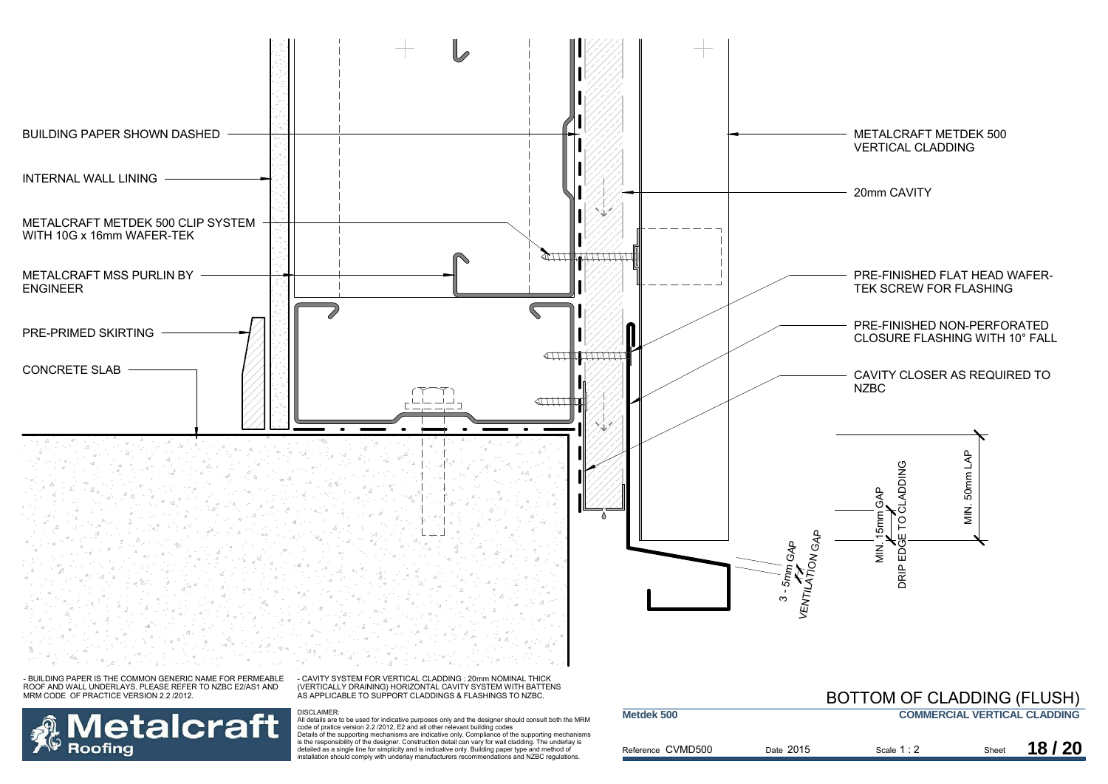

**Metalcraft** Details of the supporting mechanisms are indicative only. Compliance of the supporting mechanisms is the responsibility of the designer. Construction detail can vary for wall cladding. The underlay is **Roofing** detailed as a single line for simplicity and is indicative only. Building paper type and method of installation should comply with underlay manufacturers recommendations and NZBC regulations.

### **COMMERCIAL VERTICAL CLADDING** 2 Sheet **18/20**

Reference CVMD500

Scale Sheet 1 : 2

Date 2015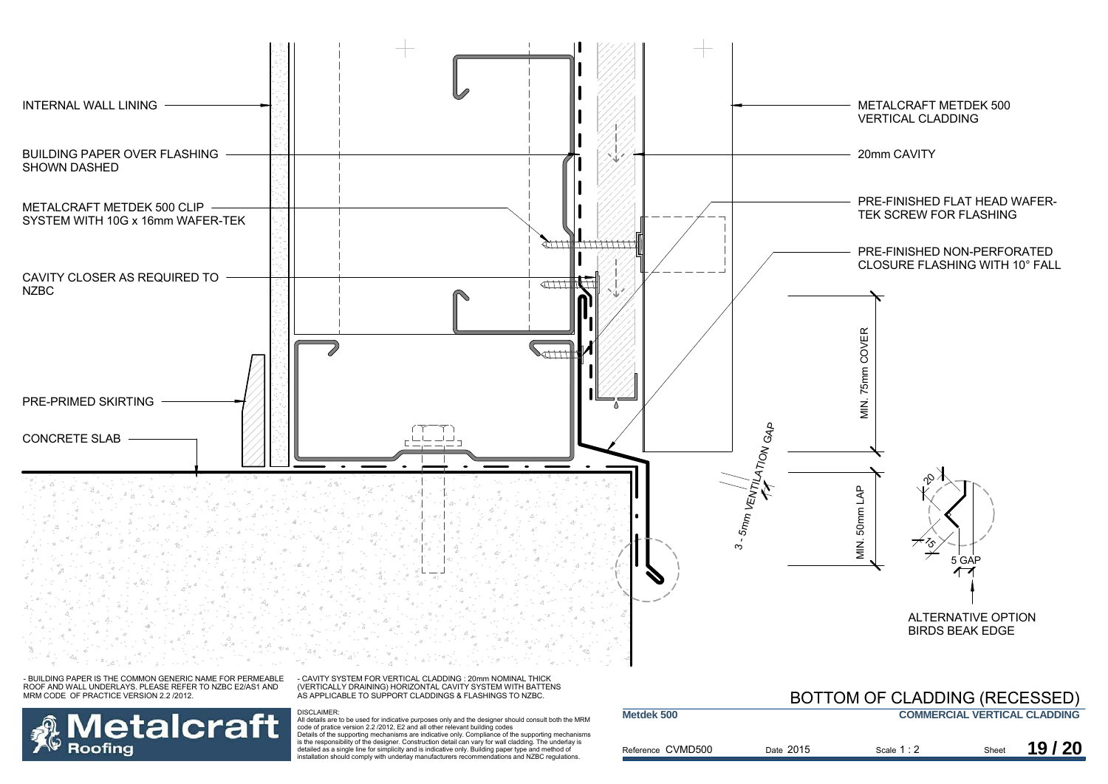